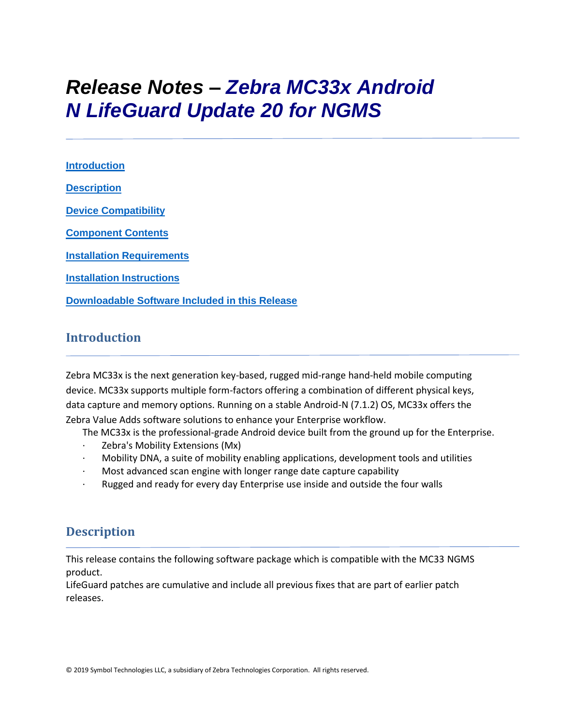# *Release Notes – Zebra MC33x Android N LifeGuard Update 20 for NGMS*

**[Introduction](#page-0-0) [Description](#page-0-1) [Device Compatibility](#page-14-0) [Component Contents](#page-1-0) [Installation Requirements](#page-17-0) [Installation Instructions](#page-17-1) [Downloadable Software Included in this Release](#page-20-0)**

### <span id="page-0-0"></span>**Introduction**

Zebra MC33x is the next generation key-based, rugged mid-range hand-held mobile computing device. MC33x supports multiple form-factors offering a combination of different physical keys, data capture and memory options. Running on a stable Android-N (7.1.2) OS, MC33x offers the Zebra Value Adds software solutions to enhance your Enterprise workflow.

The MC33x is the professional-grade Android device built from the ground up for the Enterprise.

- Zebra's Mobility Extensions (Mx)
- · Mobility DNA, a suite of mobility enabling applications, development tools and utilities
- · Most advanced scan engine with longer range date capture capability
- Rugged and ready for every day Enterprise use inside and outside the four walls

## <span id="page-0-1"></span>**Description**

This release contains the following software package which is compatible with the MC33 NGMS product.

LifeGuard patches are cumulative and include all previous fixes that are part of earlier patch releases.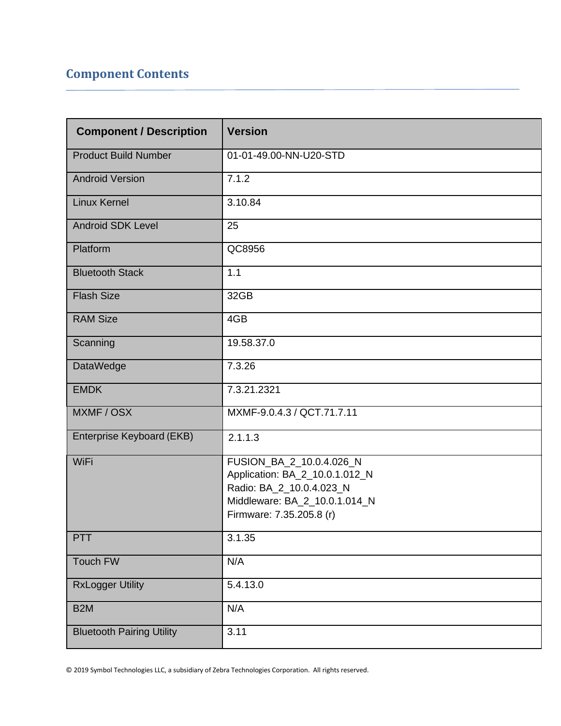## <span id="page-1-0"></span>**Component Contents**

| <b>Component / Description</b>   | <b>Version</b>                                             |
|----------------------------------|------------------------------------------------------------|
| <b>Product Build Number</b>      | 01-01-49.00-NN-U20-STD                                     |
| <b>Android Version</b>           | 7.1.2                                                      |
| <b>Linux Kernel</b>              | 3.10.84                                                    |
| <b>Android SDK Level</b>         | 25                                                         |
| Platform                         | QC8956                                                     |
| <b>Bluetooth Stack</b>           | 1.1                                                        |
| <b>Flash Size</b>                | 32GB                                                       |
| <b>RAM Size</b>                  | 4GB                                                        |
| Scanning                         | 19.58.37.0                                                 |
| DataWedge                        | 7.3.26                                                     |
| <b>EMDK</b>                      | 7.3.21.2321                                                |
| MXMF / OSX                       | MXMF-9.0.4.3 / QCT.71.7.11                                 |
| Enterprise Keyboard (EKB)        | 2.1.1.3                                                    |
| WiFi                             | FUSION_BA_2_10.0.4.026_N<br>Application: BA_2_10.0.1.012_N |
|                                  | Radio: BA_2_10.0.4.023_N                                   |
|                                  | Middleware: BA_2_10.0.1.014_N                              |
|                                  | Firmware: 7.35.205.8 (r)                                   |
| PTT                              | 3.1.35                                                     |
| Touch FW                         | N/A                                                        |
| <b>RxLogger Utility</b>          | 5.4.13.0                                                   |
| B <sub>2</sub> M                 | N/A                                                        |
| <b>Bluetooth Pairing Utility</b> | 3.11                                                       |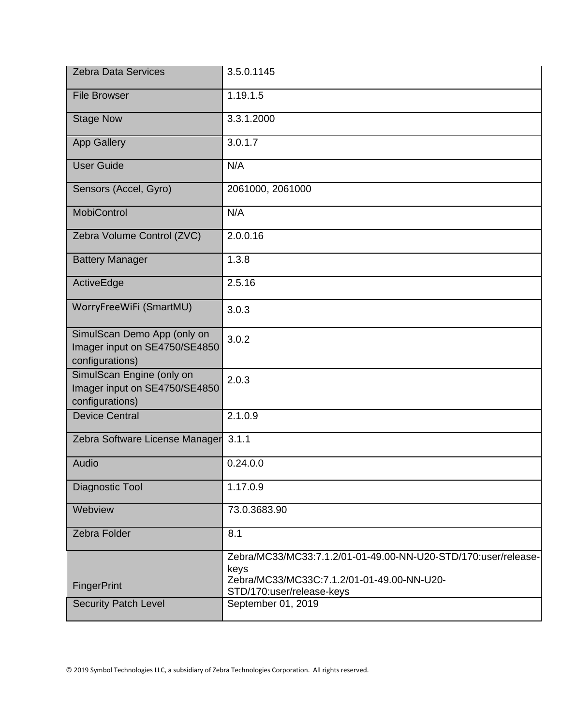| <b>Zebra Data Services</b>                                                      | 3.5.0.1145                                                                                                           |
|---------------------------------------------------------------------------------|----------------------------------------------------------------------------------------------------------------------|
| <b>File Browser</b>                                                             | 1.19.1.5                                                                                                             |
| <b>Stage Now</b>                                                                | 3.3.1.2000                                                                                                           |
| <b>App Gallery</b>                                                              | 3.0.1.7                                                                                                              |
| <b>User Guide</b>                                                               | N/A                                                                                                                  |
| Sensors (Accel, Gyro)                                                           | 2061000, 2061000                                                                                                     |
| <b>MobiControl</b>                                                              | N/A                                                                                                                  |
| Zebra Volume Control (ZVC)                                                      | 2.0.0.16                                                                                                             |
| <b>Battery Manager</b>                                                          | 1.3.8                                                                                                                |
| ActiveEdge                                                                      | 2.5.16                                                                                                               |
| WorryFreeWiFi (SmartMU)                                                         | 3.0.3                                                                                                                |
| SimulScan Demo App (only on<br>Imager input on SE4750/SE4850<br>configurations) | 3.0.2                                                                                                                |
| SimulScan Engine (only on<br>Imager input on SE4750/SE4850<br>configurations)   | 2.0.3                                                                                                                |
| <b>Device Central</b>                                                           | 2.1.0.9                                                                                                              |
| Zebra Software License Manager 3.1.1                                            |                                                                                                                      |
| Audio                                                                           | 0.24.0.0                                                                                                             |
| Diagnostic Tool                                                                 | 1.17.0.9                                                                                                             |
| Webview                                                                         | 73.0.3683.90                                                                                                         |
| Zebra Folder                                                                    | 8.1                                                                                                                  |
|                                                                                 | Zebra/MC33/MC33:7.1.2/01-01-49.00-NN-U20-STD/170:user/release-<br>keys<br>Zebra/MC33/MC33C:7.1.2/01-01-49.00-NN-U20- |
| FingerPrint                                                                     | STD/170:user/release-keys                                                                                            |
| <b>Security Patch Level</b>                                                     | September 01, 2019                                                                                                   |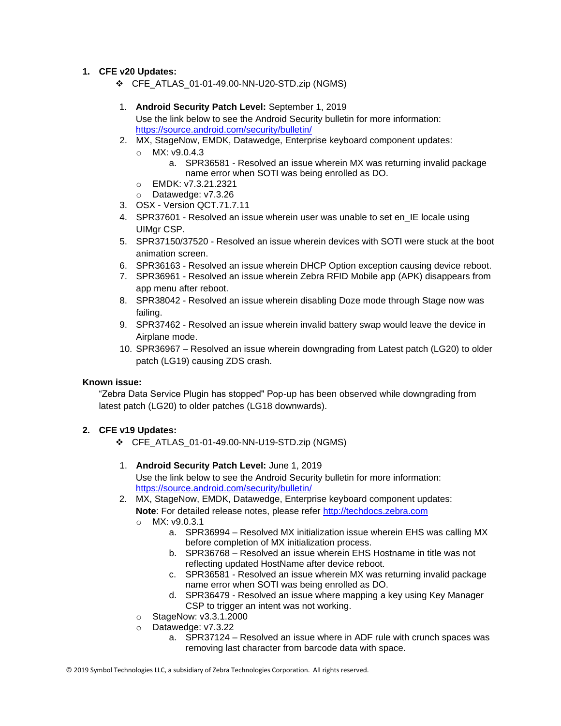#### **1. CFE v20 Updates:**

- ❖ CFE\_ATLAS\_01-01-49.00-NN-U20-STD.zip (NGMS)
- 1. **Android Security Patch Level:** September 1, 2019 Use the link below to see the Android Security bulletin for more information: <https://source.android.com/security/bulletin/>
- 2. MX, StageNow, EMDK, Datawedge, Enterprise keyboard component updates:
	- o MX: v9.0.4.3
		- a. SPR36581 Resolved an issue wherein MX was returning invalid package name error when SOTI was being enrolled as DO.
	- o EMDK: v7.3.21.2321
	- o Datawedge: v7.3.26
- 3. OSX Version QCT.71.7.11
- 4. SPR37601 Resolved an issue wherein user was unable to set en\_IE locale using UIMar CSP.
- 5. SPR37150/37520 Resolved an issue wherein devices with SOTI were stuck at the boot animation screen.
- 6. SPR36163 Resolved an issue wherein DHCP Option exception causing device reboot.
- 7. SPR36961 Resolved an issue wherein Zebra RFID Mobile app (APK) disappears from app menu after reboot.
- 8. SPR38042 Resolved an issue wherein disabling Doze mode through Stage now was failing.
- 9. SPR37462 Resolved an issue wherein invalid battery swap would leave the device in Airplane mode.
- 10. SPR36967 Resolved an issue wherein downgrading from Latest patch (LG20) to older patch (LG19) causing ZDS crash.

#### **Known issue:**

"Zebra Data Service Plugin has stopped" Pop-up has been observed while downgrading from latest patch (LG20) to older patches (LG18 downwards).

#### **2. CFE v19 Updates:**

- ❖ CFE\_ATLAS\_01-01-49.00-NN-U19-STD.zip (NGMS)
- 1. **Android Security Patch Level:** June 1, 2019

Use the link below to see the Android Security bulletin for more information: <https://source.android.com/security/bulletin/>

- 2. MX, StageNow, EMDK, Datawedge, Enterprise keyboard component updates: **Note**: For detailed release notes, please refer [http://techdocs.zebra.com](http://techdocs.zebra.com/)
	-
	- $O$  MX: v9.0.3.1
		- a. SPR36994 Resolved MX initialization issue wherein EHS was calling MX before completion of MX initialization process.
		- b. SPR36768 Resolved an issue wherein EHS Hostname in title was not reflecting updated HostName after device reboot.
		- c. SPR36581 Resolved an issue wherein MX was returning invalid package name error when SOTI was being enrolled as DO.
		- d. SPR36479 Resolved an issue where mapping a key using Key Manager CSP to trigger an intent was not working.
	- o StageNow: v3.3.1.2000
	- o Datawedge: v7.3.22
		- a. SPR37124 Resolved an issue where in ADF rule with crunch spaces was removing last character from barcode data with space.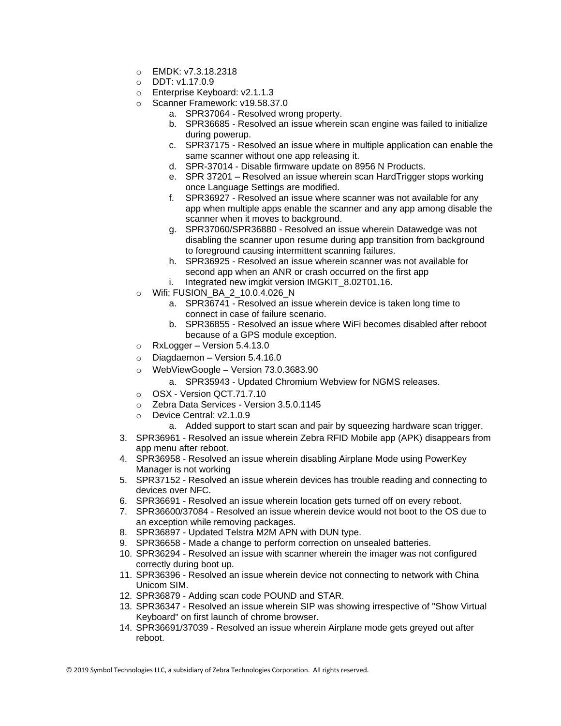- $O$  **EMDK:**  $v7.3.18.2318$
- o DDT: v1.17.0.9
- o Enterprise Keyboard: v2.1.1.3
- o Scanner Framework: v19.58.37.0
	- a. SPR37064 Resolved wrong property.
	- b. SPR36685 Resolved an issue wherein scan engine was failed to initialize during powerup.
	- c. SPR37175 Resolved an issue where in multiple application can enable the same scanner without one app releasing it.
	- d. SPR-37014 Disable firmware update on 8956 N Products.
	- e. SPR 37201 Resolved an issue wherein scan HardTrigger stops working once Language Settings are modified.
	- f. SPR36927 Resolved an issue where scanner was not available for any app when multiple apps enable the scanner and any app among disable the scanner when it moves to background.
	- g. SPR37060/SPR36880 Resolved an issue wherein Datawedge was not disabling the scanner upon resume during app transition from background to foreground causing intermittent scanning failures.
	- h. SPR36925 Resolved an issue wherein scanner was not available for second app when an ANR or crash occurred on the first app
	- i. Integrated new imgkit version IMGKIT\_8.02T01.16.
- o Wifi: FUSION\_BA\_2\_10.0.4.026\_N
	- a. SPR36741 Resolved an issue wherein device is taken long time to connect in case of failure scenario.
	- b. SPR36855 Resolved an issue where WiFi becomes disabled after reboot because of a GPS module exception.
- $\circ$  RxLogger Version 5.4.13.0
- o Diagdaemon Version 5.4.16.0
- o WebViewGoogle Version 73.0.3683.90
	- a. SPR35943 Updated Chromium Webview for NGMS releases.
- o OSX Version QCT.71.7.10
- o Zebra Data Services Version 3.5.0.1145
- o Device Central: v2.1.0.9
	- a. Added support to start scan and pair by squeezing hardware scan trigger.
- 3. SPR36961 Resolved an issue wherein Zebra RFID Mobile app (APK) disappears from app menu after reboot.
- 4. SPR36958 Resolved an issue wherein disabling Airplane Mode using PowerKey Manager is not working
- 5. SPR37152 Resolved an issue wherein devices has trouble reading and connecting to devices over NFC.
- 6. SPR36691 Resolved an issue wherein location gets turned off on every reboot.
- 7. SPR36600/37084 Resolved an issue wherein device would not boot to the OS due to an exception while removing packages.
- 8. SPR36897 Updated Telstra M2M APN with DUN type.
- 9. SPR36658 Made a change to perform correction on unsealed batteries.
- 10. SPR36294 Resolved an issue with scanner wherein the imager was not configured correctly during boot up.
- 11. SPR36396 Resolved an issue wherein device not connecting to network with China Unicom SIM.
- 12. SPR36879 Adding scan code POUND and STAR.
- 13. SPR36347 Resolved an issue wherein SIP was showing irrespective of "Show Virtual Keyboard" on first launch of chrome browser.
- 14. SPR36691/37039 Resolved an issue wherein Airplane mode gets greyed out after reboot.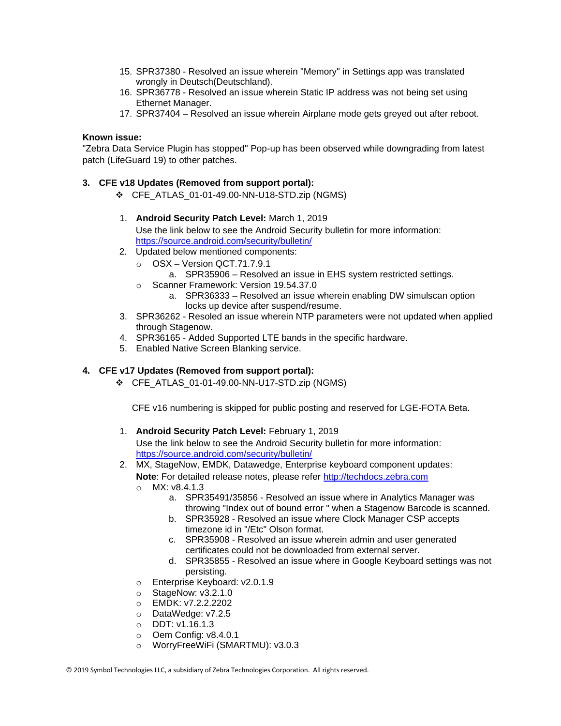- 15. SPR37380 Resolved an issue wherein "Memory" in Settings app was translated wrongly in Deutsch(Deutschland).
- 16. SPR36778 Resolved an issue wherein Static IP address was not being set using Ethernet Manager.
- 17. SPR37404 Resolved an issue wherein Airplane mode gets greyed out after reboot.

#### **Known issue:**

"Zebra Data Service Plugin has stopped" Pop-up has been observed while downgrading from latest patch (LifeGuard 19) to other patches.

#### **3. CFE v18 Updates (Removed from support portal):**

❖ CFE\_ATLAS\_01-01-49.00-NN-U18-STD.zip (NGMS)

#### 1. **Android Security Patch Level:** March 1, 2019

Use the link below to see the Android Security bulletin for more information: <https://source.android.com/security/bulletin/>

- 2. Updated below mentioned components:
	- o OSX Version QCT.71.7.9.1
		- a. SPR35906 Resolved an issue in EHS system restricted settings.
	- o Scanner Framework: Version 19.54.37.0
		- a. SPR36333 Resolved an issue wherein enabling DW simulscan option locks up device after suspend/resume.
- 3. SPR36262 Resoled an issue wherein NTP parameters were not updated when applied through Stagenow.
- 4. SPR36165 Added Supported LTE bands in the specific hardware.
- 5. Enabled Native Screen Blanking service.

#### **4. CFE v17 Updates (Removed from support portal):**

❖ CFE\_ATLAS\_01-01-49.00-NN-U17-STD.zip (NGMS)

CFE v16 numbering is skipped for public posting and reserved for LGE-FOTA Beta.

1. **Android Security Patch Level:** February 1, 2019

- 2. MX, StageNow, EMDK, Datawedge, Enterprise keyboard component updates:
	- Note: For detailed release notes, please refer [http://techdocs.zebra.com](http://techdocs.zebra.com/)
	- $O$  MX: v8.4.1.3
		- a. SPR35491/35856 Resolved an issue where in Analytics Manager was throwing "Index out of bound error " when a Stagenow Barcode is scanned.
		- b. SPR35928 Resolved an issue where Clock Manager CSP accepts timezone id in "/Etc" Olson format.
		- c. SPR35908 Resolved an issue wherein admin and user generated certificates could not be downloaded from external server.
		- d. SPR35855 Resolved an issue where in Google Keyboard settings was not persisting.
	- o Enterprise Keyboard: v2.0.1.9
	- $\circ$  StageNow: v3.2.1.0
	- o EMDK: v7.2.2.2202
	- o DataWedge: v7.2.5
	- o DDT: v1.16.1.3
	- o Oem Config: v8.4.0.1
	- o WorryFreeWiFi (SMARTMU): v3.0.3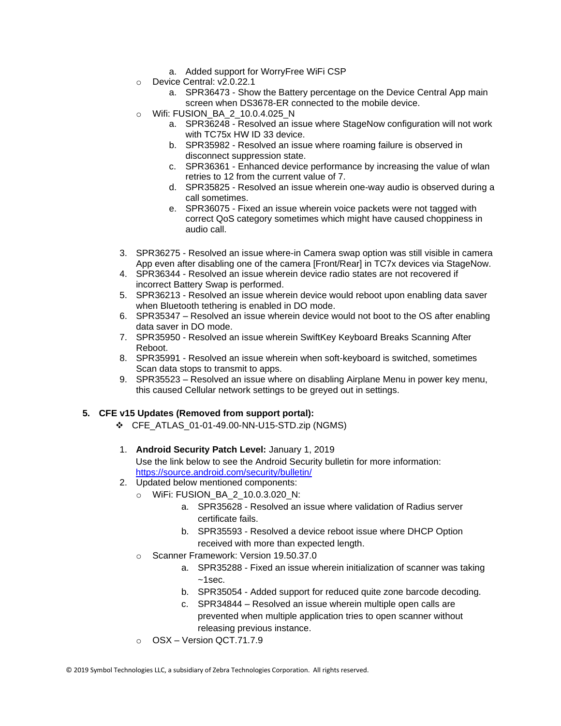- a. Added support for WorryFree WiFi CSP
- o Device Central: v2.0.22.1
	- a. SPR36473 Show the Battery percentage on the Device Central App main screen when DS3678-ER connected to the mobile device.
- $\circ$  Wifi: FUSION BA 2 10.0.4.025 N
	- a. SPR36248 Resolved an issue where StageNow configuration will not work with TC75x HW ID 33 device.
	- b. SPR35982 Resolved an issue where roaming failure is observed in disconnect suppression state.
	- c. SPR36361 Enhanced device performance by increasing the value of wlan retries to 12 from the current value of 7.
	- d. SPR35825 Resolved an issue wherein one-way audio is observed during a call sometimes.
	- e. SPR36075 Fixed an issue wherein voice packets were not tagged with correct QoS category sometimes which might have caused choppiness in audio call.
- 3. SPR36275 Resolved an issue where-in Camera swap option was still visible in camera App even after disabling one of the camera [Front/Rear] in TC7x devices via StageNow.
- 4. SPR36344 Resolved an issue wherein device radio states are not recovered if incorrect Battery Swap is performed.
- 5. SPR36213 Resolved an issue wherein device would reboot upon enabling data saver when Bluetooth tethering is enabled in DO mode.
- 6. SPR35347 Resolved an issue wherein device would not boot to the OS after enabling data saver in DO mode.
- 7. SPR35950 Resolved an issue wherein SwiftKey Keyboard Breaks Scanning After Reboot.
- 8. SPR35991 Resolved an issue wherein when soft-keyboard is switched, sometimes Scan data stops to transmit to apps.
- 9. SPR35523 Resolved an issue where on disabling Airplane Menu in power key menu, this caused Cellular network settings to be greyed out in settings.

#### **5. CFE v15 Updates (Removed from support portal):**

- ❖ CFE\_ATLAS\_01-01-49.00-NN-U15-STD.zip (NGMS)
- 1. **Android Security Patch Level:** January 1, 2019

- 2. Updated below mentioned components:
	- o WiFi: FUSION\_BA\_2\_10.0.3.020\_N:
		- a. SPR35628 Resolved an issue where validation of Radius server certificate fails.
		- b. SPR35593 Resolved a device reboot issue where DHCP Option received with more than expected length.
	- o Scanner Framework: Version 19.50.37.0
		- a. SPR35288 Fixed an issue wherein initialization of scanner was taking  $~1$ sec.
		- b. SPR35054 Added support for reduced quite zone barcode decoding.
		- c. SPR34844 Resolved an issue wherein multiple open calls are prevented when multiple application tries to open scanner without releasing previous instance.
	- o OSX Version QCT.71.7.9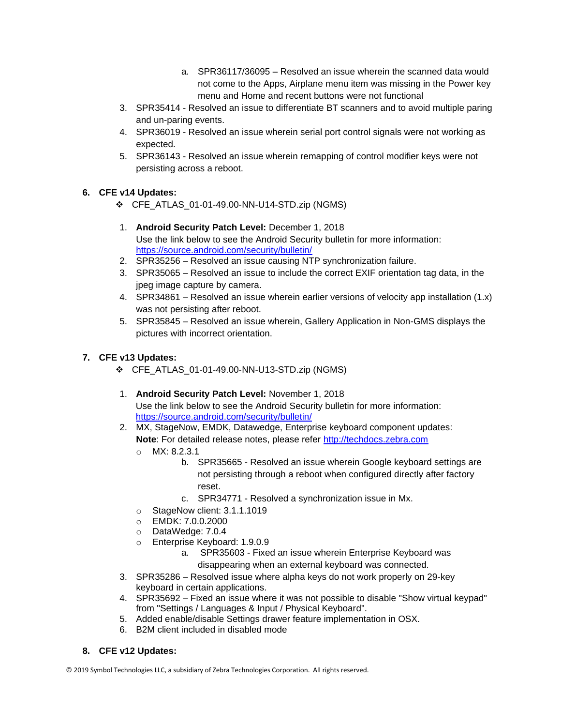- a. SPR36117/36095 Resolved an issue wherein the scanned data would not come to the Apps, Airplane menu item was missing in the Power key menu and Home and recent buttons were not functional
- 3. SPR35414 Resolved an issue to differentiate BT scanners and to avoid multiple paring and un-paring events.
- 4. SPR36019 Resolved an issue wherein serial port control signals were not working as expected.
- 5. SPR36143 Resolved an issue wherein remapping of control modifier keys were not persisting across a reboot.

#### **6. CFE v14 Updates:**

- ❖ CFE\_ATLAS\_01-01-49.00-NN-U14-STD.zip (NGMS)
- 1. **Android Security Patch Level:** December 1, 2018 Use the link below to see the Android Security bulletin for more information: <https://source.android.com/security/bulletin/>
- 2. SPR35256 Resolved an issue causing NTP synchronization failure.
- 3. SPR35065 Resolved an issue to include the correct EXIF orientation tag data, in the jpeg image capture by camera.
- 4. SPR34861 Resolved an issue wherein earlier versions of velocity app installation (1.x) was not persisting after reboot.
- 5. SPR35845 Resolved an issue wherein, Gallery Application in Non-GMS displays the pictures with incorrect orientation.

#### **7. CFE v13 Updates:**

- ❖ CFE\_ATLAS\_01-01-49.00-NN-U13-STD.zip (NGMS)
- 1. **Android Security Patch Level:** November 1, 2018 Use the link below to see the Android Security bulletin for more information: <https://source.android.com/security/bulletin/>
- 2. MX, StageNow, EMDK, Datawedge, Enterprise keyboard component updates: Note: For detailed release notes, please refer [http://techdocs.zebra.com](http://techdocs.zebra.com/)
	- o MX: 8.2.3.1
		- b. SPR35665 Resolved an issue wherein Google keyboard settings are not persisting through a reboot when configured directly after factory reset.
		- c. SPR34771 Resolved a synchronization issue in Mx.
	- o StageNow client: 3.1.1.1019
	- o EMDK: 7.0.0.2000
	- o DataWedge: 7.0.4
	- o Enterprise Keyboard: 1.9.0.9
		- a. SPR35603 Fixed an issue wherein Enterprise Keyboard was disappearing when an external keyboard was connected.
- 3. SPR35286 Resolved issue where alpha keys do not work properly on 29-key keyboard in certain applications.
- 4. SPR35692 Fixed an issue where it was not possible to disable "Show virtual keypad" from "Settings / Languages & Input / Physical Keyboard".
- 5. Added enable/disable Settings drawer feature implementation in OSX.
- 6. B2M client included in disabled mode
- **8. CFE v12 Updates:**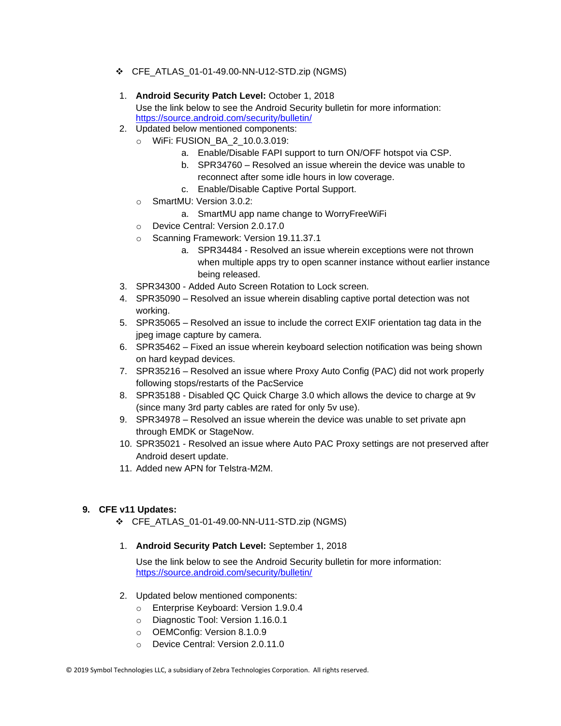- ❖ CFE\_ATLAS\_01-01-49.00-NN-U12-STD.zip (NGMS)
- 1. **Android Security Patch Level:** October 1, 2018 Use the link below to see the Android Security bulletin for more information: <https://source.android.com/security/bulletin/>
- 2. Updated below mentioned components:
	- o WiFi: FUSION\_BA\_2\_10.0.3.019:
		- a. Enable/Disable FAPI support to turn ON/OFF hotspot via CSP.
		- b. SPR34760 Resolved an issue wherein the device was unable to reconnect after some idle hours in low coverage.
		- c. Enable/Disable Captive Portal Support.
	- o SmartMU: Version 3.0.2:
		- a. SmartMU app name change to WorryFreeWiFi
	- o Device Central: Version 2.0.17.0
	- o Scanning Framework: Version 19.11.37.1
		- a. SPR34484 Resolved an issue wherein exceptions were not thrown when multiple apps try to open scanner instance without earlier instance being released.
- 3. SPR34300 Added Auto Screen Rotation to Lock screen.
- 4. SPR35090 Resolved an issue wherein disabling captive portal detection was not working.
- 5. SPR35065 Resolved an issue to include the correct EXIF orientation tag data in the jpeg image capture by camera.
- 6. SPR35462 Fixed an issue wherein keyboard selection notification was being shown on hard keypad devices.
- 7. SPR35216 Resolved an issue where Proxy Auto Config (PAC) did not work properly following stops/restarts of the PacService
- 8. SPR35188 Disabled QC Quick Charge 3.0 which allows the device to charge at 9v (since many 3rd party cables are rated for only 5v use).
- 9. SPR34978 Resolved an issue wherein the device was unable to set private apn through EMDK or StageNow.
- 10. SPR35021 Resolved an issue where Auto PAC Proxy settings are not preserved after Android desert update.
- 11. Added new APN for Telstra-M2M.

#### **9. CFE v11 Updates:**

- ❖ CFE\_ATLAS\_01-01-49.00-NN-U11-STD.zip (NGMS)
- 1. **Android Security Patch Level:** September 1, 2018

- 2. Updated below mentioned components:
	- o Enterprise Keyboard: Version 1.9.0.4
	- o Diagnostic Tool: Version 1.16.0.1
	- o OEMConfig: Version 8.1.0.9
	- o Device Central: Version 2.0.11.0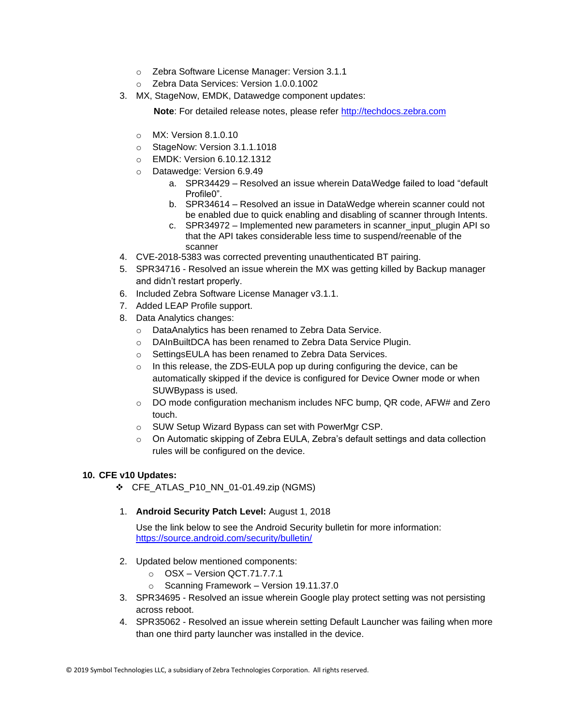- o Zebra Software License Manager: Version 3.1.1
- o Zebra Data Services: Version 1.0.0.1002
- 3. MX, StageNow, EMDK, Datawedge component updates:

**Note:** For detailed release notes, please refer [http://techdocs.zebra.com](http://techdocs.zebra.com/)

- o MX: Version 8.1.0.10
- o StageNow: Version 3.1.1.1018
- o EMDK: Version 6.10.12.1312
- o Datawedge: Version 6.9.49
	- a. SPR34429 Resolved an issue wherein DataWedge failed to load "default Profile0".
	- b. SPR34614 Resolved an issue in DataWedge wherein scanner could not be enabled due to quick enabling and disabling of scanner through Intents.
	- c. SPR34972 Implemented new parameters in scanner\_input\_plugin API so that the API takes considerable less time to suspend/reenable of the scanner
- 4. CVE-2018-5383 was corrected preventing unauthenticated BT pairing.
- 5. SPR34716 Resolved an issue wherein the MX was getting killed by Backup manager and didn't restart properly.
- 6. Included Zebra Software License Manager v3.1.1.
- 7. Added LEAP Profile support.
- 8. Data Analytics changes:
	- o DataAnalytics has been renamed to Zebra Data Service.
	- o DAInBuiltDCA has been renamed to Zebra Data Service Plugin.
	- o SettingsEULA has been renamed to Zebra Data Services.
	- o In this release, the ZDS-EULA pop up during configuring the device, can be automatically skipped if the device is configured for Device Owner mode or when SUWBypass is used.
	- o DO mode configuration mechanism includes NFC bump, QR code, AFW# and Zero touch.
	- o SUW Setup Wizard Bypass can set with PowerMgr CSP.
	- o On Automatic skipping of Zebra EULA, Zebra's default settings and data collection rules will be configured on the device.

#### **10. CFE v10 Updates:**

❖ CFE\_ATLAS\_P10\_NN\_01-01.49.zip (NGMS)

#### 1. **Android Security Patch Level:** August 1, 2018

- 2. Updated below mentioned components:
	- o OSX Version QCT.71.7.7.1
	- o Scanning Framework Version 19.11.37.0
- 3. SPR34695 Resolved an issue wherein Google play protect setting was not persisting across reboot.
- 4. SPR35062 Resolved an issue wherein setting Default Launcher was failing when more than one third party launcher was installed in the device.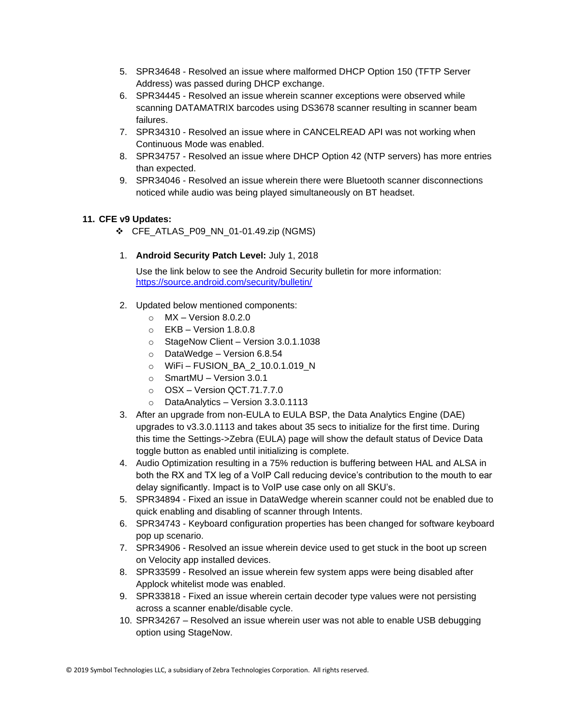- 5. SPR34648 Resolved an issue where malformed DHCP Option 150 (TFTP Server Address) was passed during DHCP exchange.
- 6. SPR34445 Resolved an issue wherein scanner exceptions were observed while scanning DATAMATRIX barcodes using DS3678 scanner resulting in scanner beam failures.
- 7. SPR34310 Resolved an issue where in CANCELREAD API was not working when Continuous Mode was enabled.
- 8. SPR34757 Resolved an issue where DHCP Option 42 (NTP servers) has more entries than expected.
- 9. SPR34046 Resolved an issue wherein there were Bluetooth scanner disconnections noticed while audio was being played simultaneously on BT headset.

#### **11. CFE v9 Updates:**

- ❖ CFE\_ATLAS\_P09\_NN\_01-01.49.zip (NGMS)
- 1. **Android Security Patch Level:** July 1, 2018

- 2. Updated below mentioned components:
	- $\circ$  MX Version 8.0.2.0
	- $\circ$  EKB Version 1.8.0.8
	- o StageNow Client Version 3.0.1.1038
	- o DataWedge Version 6.8.54
	- o WiFi FUSION\_BA\_2\_10.0.1.019\_N
	- o SmartMU Version 3.0.1
	- o OSX Version QCT.71.7.7.0
	- o DataAnalytics Version 3.3.0.1113
- 3. After an upgrade from non-EULA to EULA BSP, the Data Analytics Engine (DAE) upgrades to v3.3.0.1113 and takes about 35 secs to initialize for the first time. During this time the Settings->Zebra (EULA) page will show the default status of Device Data toggle button as enabled until initializing is complete.
- 4. Audio Optimization resulting in a 75% reduction is buffering between HAL and ALSA in both the RX and TX leg of a VoIP Call reducing device's contribution to the mouth to ear delay significantly. Impact is to VoIP use case only on all SKU's.
- 5. SPR34894 Fixed an issue in DataWedge wherein scanner could not be enabled due to quick enabling and disabling of scanner through Intents.
- 6. SPR34743 Keyboard configuration properties has been changed for software keyboard pop up scenario.
- 7. SPR34906 Resolved an issue wherein device used to get stuck in the boot up screen on Velocity app installed devices.
- 8. SPR33599 Resolved an issue wherein few system apps were being disabled after Applock whitelist mode was enabled.
- 9. SPR33818 Fixed an issue wherein certain decoder type values were not persisting across a scanner enable/disable cycle.
- 10. SPR34267 Resolved an issue wherein user was not able to enable USB debugging option using StageNow.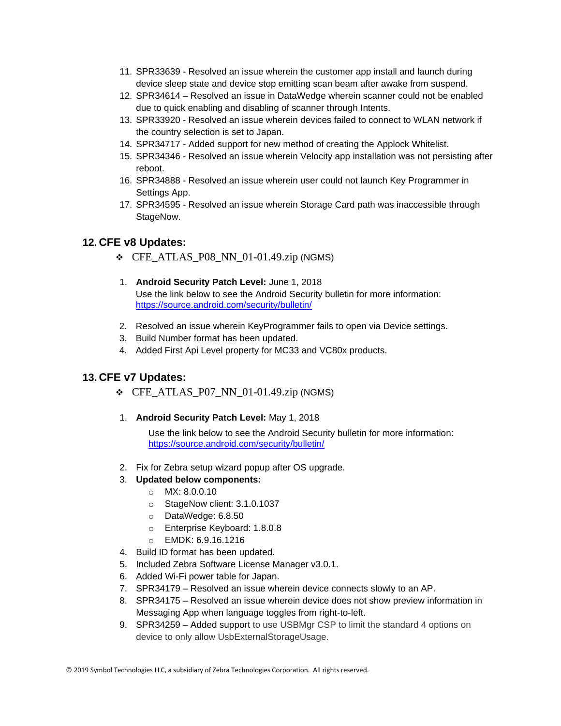- 11. SPR33639 Resolved an issue wherein the customer app install and launch during device sleep state and device stop emitting scan beam after awake from suspend.
- 12. SPR34614 Resolved an issue in DataWedge wherein scanner could not be enabled due to quick enabling and disabling of scanner through Intents.
- 13. SPR33920 Resolved an issue wherein devices failed to connect to WLAN network if the country selection is set to Japan.
- 14. SPR34717 Added support for new method of creating the Applock Whitelist.
- 15. SPR34346 Resolved an issue wherein Velocity app installation was not persisting after reboot.
- 16. SPR34888 Resolved an issue wherein user could not launch Key Programmer in Settings App.
- 17. SPR34595 Resolved an issue wherein Storage Card path was inaccessible through StageNow.

#### **12. CFE v8 Updates:**

- ❖ CFE\_ATLAS\_P08\_NN\_01-01.49.zip (NGMS)
- 1. **Android Security Patch Level:** June 1, 2018 Use the link below to see the Android Security bulletin for more information: <https://source.android.com/security/bulletin/>
- 2. Resolved an issue wherein KeyProgrammer fails to open via Device settings.
- 3. Build Number format has been updated.
- 4. Added First Api Level property for MC33 and VC80x products.

#### **13. CFE v7 Updates:**

- $\div$  CFE\_ATLAS\_P07\_NN\_01-01.49.zip (NGMS)
- 1. **Android Security Patch Level:** May 1, 2018

Use the link below to see the Android Security bulletin for more information: <https://source.android.com/security/bulletin/>

2. Fix for Zebra setup wizard popup after OS upgrade.

#### 3. **Updated below components:**

- o MX: 8.0.0.10
- o StageNow client: 3.1.0.1037
- o DataWedge: 6.8.50
- o Enterprise Keyboard: 1.8.0.8
- o EMDK: 6.9.16.1216
- 4. Build ID format has been updated.
- 5. Included Zebra Software License Manager v3.0.1.
- 6. Added Wi-Fi power table for Japan.
- 7. SPR34179 Resolved an issue wherein device connects slowly to an AP.
- 8. SPR34175 Resolved an issue wherein device does not show preview information in Messaging App when language toggles from right-to-left.
- 9. SPR34259 Added support to use USBMgr CSP to limit the standard 4 options on device to only allow UsbExternalStorageUsage.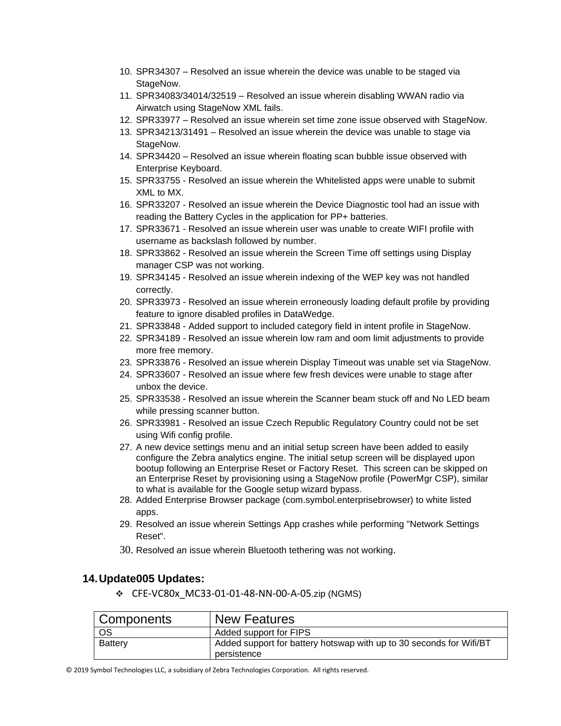- 10. SPR34307 Resolved an issue wherein the device was unable to be staged via StageNow.
- 11. SPR34083/34014/32519 Resolved an issue wherein disabling WWAN radio via Airwatch using StageNow XML fails.
- 12. SPR33977 Resolved an issue wherein set time zone issue observed with StageNow.
- 13. SPR34213/31491 Resolved an issue wherein the device was unable to stage via StageNow.
- 14. SPR34420 Resolved an issue wherein floating scan bubble issue observed with Enterprise Keyboard.
- 15. SPR33755 Resolved an issue wherein the Whitelisted apps were unable to submit XML to MX.
- 16. SPR33207 Resolved an issue wherein the Device Diagnostic tool had an issue with reading the Battery Cycles in the application for PP+ batteries.
- 17. SPR33671 Resolved an issue wherein user was unable to create WIFI profile with username as backslash followed by number.
- 18. SPR33862 Resolved an issue wherein the Screen Time off settings using Display manager CSP was not working.
- 19. SPR34145 Resolved an issue wherein indexing of the WEP key was not handled correctly.
- 20. SPR33973 Resolved an issue wherein erroneously loading default profile by providing feature to ignore disabled profiles in DataWedge.
- 21. SPR33848 Added support to included category field in intent profile in StageNow.
- 22. SPR34189 Resolved an issue wherein low ram and oom limit adjustments to provide more free memory.
- 23. SPR33876 Resolved an issue wherein Display Timeout was unable set via StageNow.
- 24. SPR33607 Resolved an issue where few fresh devices were unable to stage after unbox the device.
- 25. SPR33538 Resolved an issue wherein the Scanner beam stuck off and No LED beam while pressing scanner button.
- 26. SPR33981 Resolved an issue Czech Republic Regulatory Country could not be set using Wifi config profile.
- 27. A new device settings menu and an initial setup screen have been added to easily configure the Zebra analytics engine. The initial setup screen will be displayed upon bootup following an Enterprise Reset or Factory Reset. This screen can be skipped on an Enterprise Reset by provisioning using a StageNow profile (PowerMgr CSP), similar to what is available for the Google setup wizard bypass.
- 28. Added Enterprise Browser package (com.symbol.enterprisebrowser) to white listed apps.
- 29. Resolved an issue wherein Settings App crashes while performing "Network Settings Reset".
- 30. Resolved an issue wherein Bluetooth tethering was not working.

#### **14.Update005 Updates:**

❖ CFE-VC80x\_MC33-01-01-48-NN-00-A-05.zip (NGMS)

| <b>Components</b> | <b>New Features</b>                                                                |
|-------------------|------------------------------------------------------------------------------------|
| OS                | Added support for FIPS                                                             |
| <b>Battery</b>    | Added support for battery hotswap with up to 30 seconds for Wifi/BT<br>persistence |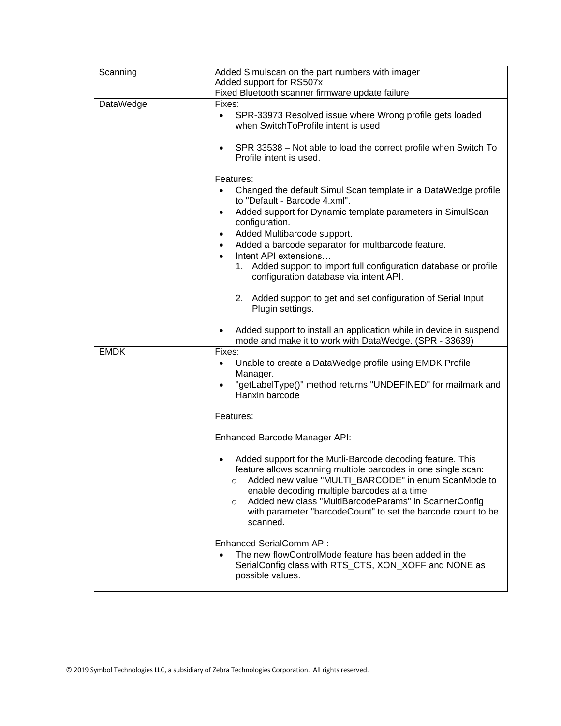| Scanning    | Added Simulscan on the part numbers with imager                                                                                                                                                                                                                                                                                                                                               |  |
|-------------|-----------------------------------------------------------------------------------------------------------------------------------------------------------------------------------------------------------------------------------------------------------------------------------------------------------------------------------------------------------------------------------------------|--|
|             | Added support for RS507x                                                                                                                                                                                                                                                                                                                                                                      |  |
|             | Fixed Bluetooth scanner firmware update failure                                                                                                                                                                                                                                                                                                                                               |  |
| DataWedge   | Fixes:<br>SPR-33973 Resolved issue where Wrong profile gets loaded<br>$\bullet$<br>when SwitchToProfile intent is used                                                                                                                                                                                                                                                                        |  |
|             | SPR 33538 – Not able to load the correct profile when Switch To<br>Profile intent is used.                                                                                                                                                                                                                                                                                                    |  |
|             | Features:                                                                                                                                                                                                                                                                                                                                                                                     |  |
|             | Changed the default Simul Scan template in a DataWedge profile<br>to "Default - Barcode 4.xml".                                                                                                                                                                                                                                                                                               |  |
|             | Added support for Dynamic template parameters in SimulScan<br>٠<br>configuration.                                                                                                                                                                                                                                                                                                             |  |
|             | Added Multibarcode support.<br>٠<br>Added a barcode separator for multbarcode feature.                                                                                                                                                                                                                                                                                                        |  |
|             | $\bullet$<br>Intent API extensions<br>$\bullet$                                                                                                                                                                                                                                                                                                                                               |  |
|             | 1. Added support to import full configuration database or profile<br>configuration database via intent API.                                                                                                                                                                                                                                                                                   |  |
|             | 2. Added support to get and set configuration of Serial Input<br>Plugin settings.                                                                                                                                                                                                                                                                                                             |  |
|             | Added support to install an application while in device in suspend<br>mode and make it to work with DataWedge. (SPR - 33639)                                                                                                                                                                                                                                                                  |  |
| <b>EMDK</b> | Fixes:<br>Unable to create a DataWedge profile using EMDK Profile<br>Manager.                                                                                                                                                                                                                                                                                                                 |  |
|             | "getLabelType()" method returns "UNDEFINED" for mailmark and<br>Hanxin barcode                                                                                                                                                                                                                                                                                                                |  |
|             | Features:                                                                                                                                                                                                                                                                                                                                                                                     |  |
|             | Enhanced Barcode Manager API:                                                                                                                                                                                                                                                                                                                                                                 |  |
|             | Added support for the Mutli-Barcode decoding feature. This<br>feature allows scanning multiple barcodes in one single scan:<br>Added new value "MULTI_BARCODE" in enum ScanMode to<br>$\circ$<br>enable decoding multiple barcodes at a time.<br>Added new class "MultiBarcodeParams" in ScannerConfig<br>$\circ$<br>with parameter "barcodeCount" to set the barcode count to be<br>scanned. |  |
|             | <b>Enhanced SerialComm API:</b><br>The new flowControlMode feature has been added in the<br>SerialConfig class with RTS_CTS, XON_XOFF and NONE as<br>possible values.                                                                                                                                                                                                                         |  |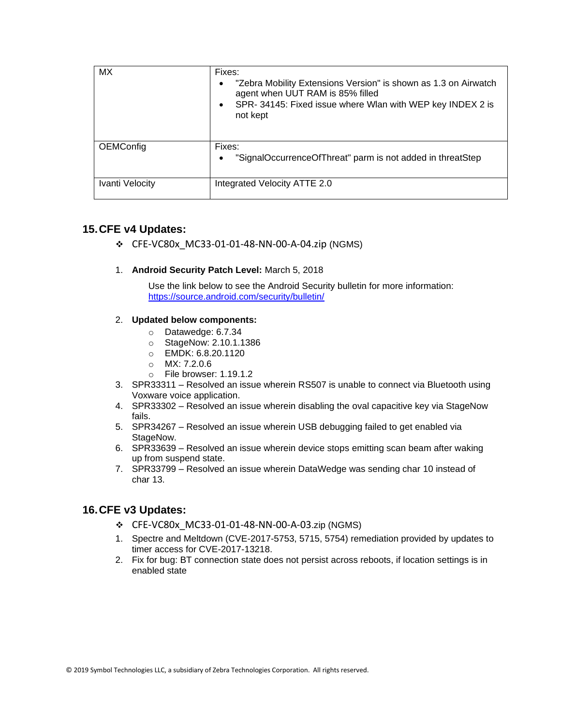| MX              | Fixes:<br>"Zebra Mobility Extensions Version" is shown as 1.3 on Airwatch<br>agent when UUT RAM is 85% filled<br>SPR-34145: Fixed issue where Wlan with WEP key INDEX 2 is<br>not kept |
|-----------------|----------------------------------------------------------------------------------------------------------------------------------------------------------------------------------------|
| OEMConfig       | Fixes:<br>"SignalOccurrenceOfThreat" parm is not added in threatStep                                                                                                                   |
| Ivanti Velocity | Integrated Velocity ATTE 2.0                                                                                                                                                           |

#### **15.CFE v4 Updates:**

❖ CFE-VC80x\_MC33-01-01-48-NN-00-A-04.zip (NGMS)

#### 1. **Android Security Patch Level:** March 5, 2018

Use the link below to see the Android Security bulletin for more information: <https://source.android.com/security/bulletin/>

#### 2. **Updated below components:**

- o Datawedge: 6.7.34
- o StageNow: 2.10.1.1386
- o EMDK: 6.8.20.1120
- o MX: 7.2.0.6
- o File browser: 1.19.1.2
- 3. SPR33311 Resolved an issue wherein RS507 is unable to connect via Bluetooth using Voxware voice application.
- 4. SPR33302 Resolved an issue wherein disabling the oval capacitive key via StageNow fails.
- 5. SPR34267 Resolved an issue wherein USB debugging failed to get enabled via StageNow.
- 6. SPR33639 Resolved an issue wherein device stops emitting scan beam after waking up from suspend state.
- 7. SPR33799 Resolved an issue wherein DataWedge was sending char 10 instead of char 13.

### **16.CFE v3 Updates:**

- ❖ CFE-VC80x\_MC33-01-01-48-NN-00-A-03.zip (NGMS)
- 1. Spectre and Meltdown (CVE-2017-5753, 5715, 5754) remediation provided by updates to timer access for CVE-2017-13218.
- <span id="page-14-0"></span>2. Fix for bug: BT connection state does not persist across reboots, if location settings is in enabled state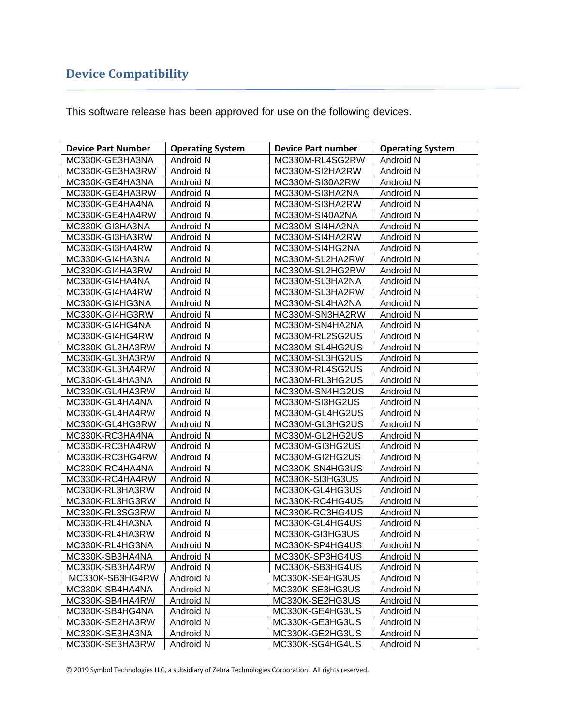## **Device Compatibility**

This software release has been approved for use on the following devices.

| <b>Device Part Number</b> | <b>Operating System</b> | <b>Device Part number</b> | <b>Operating System</b> |
|---------------------------|-------------------------|---------------------------|-------------------------|
| MC330K-GE3HA3NA           | Android N               | MC330M-RL4SG2RW           | Android N               |
| MC330K-GE3HA3RW           | Android N               | MC330M-SI2HA2RW           | Android N               |
| MC330K-GE4HA3NA           | Android N               | MC330M-SI30A2RW           | Android N               |
| MC330K-GE4HA3RW           | Android N               | MC330M-SI3HA2NA           | Android N               |
| MC330K-GE4HA4NA           | Android N               | MC330M-SI3HA2RW           | Android N               |
| MC330K-GE4HA4RW           | Android N               | MC330M-SI40A2NA           | Android N               |
| MC330K-GI3HA3NA           | Android N               | MC330M-SI4HA2NA           | Android N               |
| MC330K-GI3HA3RW           | Android N               | MC330M-SI4HA2RW           | Android N               |
| MC330K-GI3HA4RW           | Android N               | MC330M-SI4HG2NA           | Android N               |
| MC330K-GI4HA3NA           | Android N               | MC330M-SL2HA2RW           | Android N               |
| MC330K-GI4HA3RW           | Android N               | MC330M-SL2HG2RW           | Android N               |
| MC330K-GI4HA4NA           | Android N               | MC330M-SL3HA2NA           | Android N               |
| MC330K-GI4HA4RW           | Android N               | MC330M-SL3HA2RW           | Android N               |
| MC330K-GI4HG3NA           | Android N               | MC330M-SL4HA2NA           | Android N               |
| MC330K-GI4HG3RW           | Android N               | MC330M-SN3HA2RW           | Android N               |
| MC330K-GI4HG4NA           | Android N               | MC330M-SN4HA2NA           | Android N               |
| MC330K-GI4HG4RW           | Android N               | MC330M-RL2SG2US           | Android N               |
| MC330K-GL2HA3RW           | Android N               | MC330M-SL4HG2US           | Android N               |
| MC330K-GL3HA3RW           | Android N               | MC330M-SL3HG2US           | Android N               |
| MC330K-GL3HA4RW           | Android N               | MC330M-RL4SG2US           | Android N               |
| MC330K-GL4HA3NA           | Android N               | MC330M-RL3HG2US           | Android N               |
| MC330K-GL4HA3RW           | Android N               | MC330M-SN4HG2US           | Android N               |
| MC330K-GL4HA4NA           | Android N               | MC330M-SI3HG2US           | Android N               |
| MC330K-GL4HA4RW           | Android N               | MC330M-GL4HG2US           | Android N               |
| MC330K-GL4HG3RW           | Android N               | MC330M-GL3HG2US           | Android N               |
| MC330K-RC3HA4NA           | Android N               | MC330M-GL2HG2US           | Android N               |
| MC330K-RC3HA4RW           | Android N               | MC330M-GI3HG2US           | Android N               |
| MC330K-RC3HG4RW           | Android N               | MC330M-GI2HG2US           | Android N               |
| MC330K-RC4HA4NA           | Android N               | MC330K-SN4HG3US           | Android N               |
| MC330K-RC4HA4RW           | Android N               | MC330K-SI3HG3US           | Android N               |
| MC330K-RL3HA3RW           | Android N               | MC330K-GL4HG3US           | Android N               |
| MC330K-RL3HG3RW           | Android N               | MC330K-RC4HG4US           | Android N               |
| MC330K-RL3SG3RW           | Android N               | MC330K-RC3HG4US           | Android N               |
| MC330K-RL4HA3NA           | Android N               | MC330K-GL4HG4US           | Android N               |
| MC330K-RL4HA3RW           | Android N               | MC330K-GI3HG3US           | Android N               |
| MC330K-RL4HG3NA           | Android N               | MC330K-SP4HG4US           | Android N               |
| MC330K-SB3HA4NA           | Android N               | MC330K-SP3HG4US           | Android N               |
| MC330K-SB3HA4RW           | Android N               | MC330K-SB3HG4US           | Android N               |
| MC330K-SB3HG4RW           | Android N               | MC330K-SE4HG3US           | Android N               |
| MC330K-SB4HA4NA           | Android N               | MC330K-SE3HG3US           | Android N               |
| MC330K-SB4HA4RW           | Android N               | MC330K-SE2HG3US           | Android N               |
| MC330K-SB4HG4NA           | Android N               | MC330K-GE4HG3US           | Android N               |
| MC330K-SE2HA3RW           | Android N               | MC330K-GE3HG3US           | Android N               |
| MC330K-SE3HA3NA           | Android N               | MC330K-GE2HG3US           | Android N               |
| MC330K-SE3HA3RW           | Android N               | MC330K-SG4HG4US           | Android N               |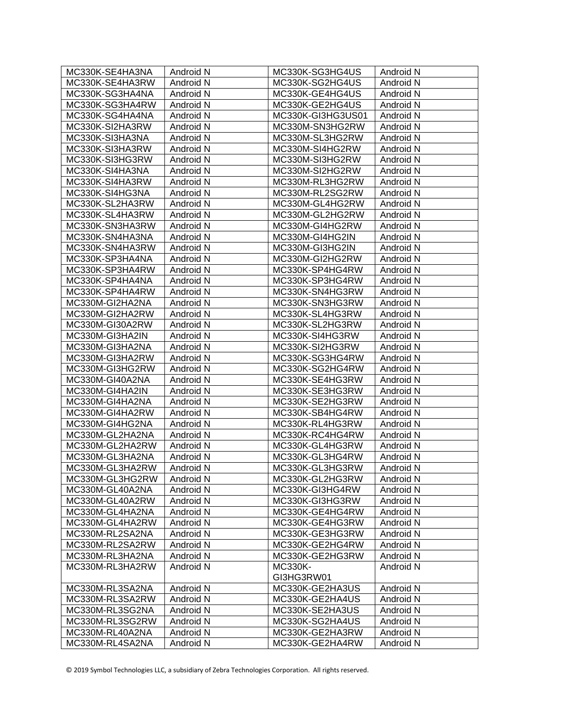| MC330K-SE4HA3NA | Android N        | MC330K-SG3HG4US   | Android N        |
|-----------------|------------------|-------------------|------------------|
| MC330K-SE4HA3RW | Android N        | MC330K-SG2HG4US   | Android N        |
| MC330K-SG3HA4NA | Android N        | MC330K-GE4HG4US   | Android N        |
| MC330K-SG3HA4RW | Android N        | MC330K-GE2HG4US   | Android N        |
| MC330K-SG4HA4NA | Android N        | MC330K-GI3HG3US01 | Android N        |
| MC330K-SI2HA3RW | Android N        | MC330M-SN3HG2RW   | Android N        |
| MC330K-SI3HA3NA | Android N        | MC330M-SL3HG2RW   | Android N        |
| MC330K-SI3HA3RW | Android N        | MC330M-SI4HG2RW   | Android N        |
| MC330K-SI3HG3RW | Android N        | MC330M-SI3HG2RW   | Android N        |
| MC330K-SI4HA3NA | Android N        | MC330M-SI2HG2RW   | Android N        |
| MC330K-SI4HA3RW | Android N        | MC330M-RL3HG2RW   | Android N        |
| MC330K-SI4HG3NA | Android N        | MC330M-RL2SG2RW   | Android N        |
| MC330K-SL2HA3RW | Android N        | MC330M-GL4HG2RW   | Android N        |
| MC330K-SL4HA3RW | Android N        | MC330M-GL2HG2RW   | Android N        |
| MC330K-SN3HA3RW | Android N        | MC330M-GI4HG2RW   | Android N        |
| MC330K-SN4HA3NA | Android N        | MC330M-GI4HG2IN   | Android N        |
| MC330K-SN4HA3RW | Android N        | MC330M-GI3HG2IN   | Android N        |
| MC330K-SP3HA4NA | Android N        | MC330M-GI2HG2RW   | Android N        |
| MC330K-SP3HA4RW | Android N        | MC330K-SP4HG4RW   | Android N        |
| MC330K-SP4HA4NA | Android N        | MC330K-SP3HG4RW   | Android N        |
| MC330K-SP4HA4RW | Android N        | MC330K-SN4HG3RW   | Android N        |
| MC330M-GI2HA2NA | Android N        | MC330K-SN3HG3RW   | Android N        |
| MC330M-GI2HA2RW | Android N        | MC330K-SL4HG3RW   | Android N        |
| MC330M-GI30A2RW | Android N        | MC330K-SL2HG3RW   | Android N        |
| MC330M-GI3HA2IN | Android N        | MC330K-SI4HG3RW   | Android N        |
| MC330M-GI3HA2NA | Android N        | MC330K-SI2HG3RW   | Android N        |
| MC330M-GI3HA2RW | Android N        | MC330K-SG3HG4RW   | Android N        |
| MC330M-GI3HG2RW | Android N        | MC330K-SG2HG4RW   | Android N        |
| MC330M-GI40A2NA | Android N        | MC330K-SE4HG3RW   | Android N        |
| MC330M-GI4HA2IN | Android N        | MC330K-SE3HG3RW   | Android N        |
| MC330M-GI4HA2NA | Android N        | MC330K-SE2HG3RW   | Android N        |
| MC330M-GI4HA2RW | Android N        | MC330K-SB4HG4RW   | Android N        |
| MC330M-GI4HG2NA | Android N        | MC330K-RL4HG3RW   | Android N        |
| MC330M-GL2HA2NA | Android N        | MC330K-RC4HG4RW   | Android N        |
| MC330M-GL2HA2RW | Android N        | MC330K-GL4HG3RW   | Android N        |
| MC330M-GL3HA2NA | Android N        | MC330K-GL3HG4RW   | Android N        |
| MC330M-GL3HA2RW | Android N        | MC330K-GL3HG3RW   | Android N        |
| MC330M-GL3HG2RW | <b>Android N</b> | MC330K-GL2HG3RW   | <b>Android N</b> |
| MC330M-GL40A2NA | Android N        | MC330K-GI3HG4RW   | Android N        |
| MC330M-GL40A2RW | Android N        | MC330K-GI3HG3RW   | Android N        |
| MC330M-GL4HA2NA | Android N        | MC330K-GE4HG4RW   | Android N        |
| MC330M-GL4HA2RW | Android N        | MC330K-GE4HG3RW   | Android N        |
| MC330M-RL2SA2NA | Android N        | MC330K-GE3HG3RW   | Android N        |
| MC330M-RL2SA2RW | Android N        | MC330K-GE2HG4RW   | Android N        |
| MC330M-RL3HA2NA | Android N        | MC330K-GE2HG3RW   | Android N        |
| MC330M-RL3HA2RW | Android N        | MC330K-           | Android N        |
|                 |                  | GI3HG3RW01        |                  |
| MC330M-RL3SA2NA | Android N        | MC330K-GE2HA3US   | Android N        |
| MC330M-RL3SA2RW | Android N        | MC330K-GE2HA4US   | Android N        |
| MC330M-RL3SG2NA | Android N        | MC330K-SE2HA3US   | Android N        |
| MC330M-RL3SG2RW | Android N        | MC330K-SG2HA4US   | Android N        |
| MC330M-RL40A2NA | Android N        | MC330K-GE2HA3RW   | Android N        |
| MC330M-RL4SA2NA | Android N        | MC330K-GE2HA4RW   | Android N        |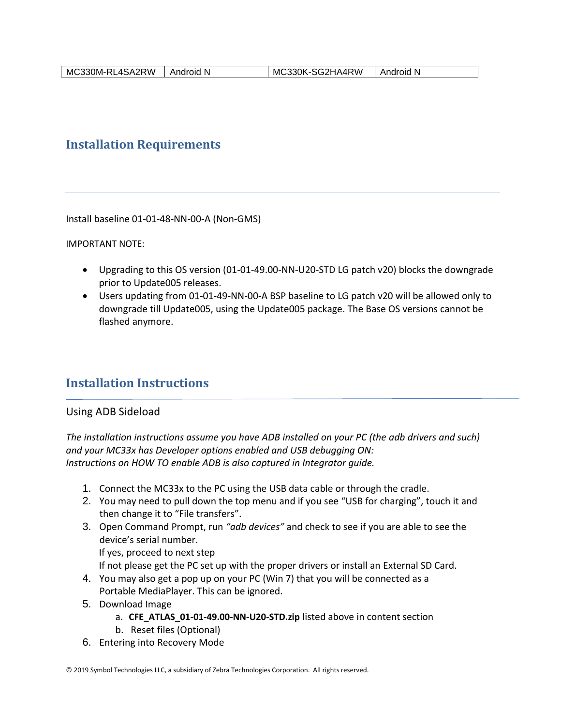## <span id="page-17-0"></span>**Installation Requirements**

Install baseline 01-01-48-NN-00-A (Non-GMS)

IMPORTANT NOTE:

- Upgrading to this OS version (01-01-49.00-NN-U20-STD LG patch v20) blocks the downgrade prior to Update005 releases.
- Users updating from 01-01-49-NN-00-A BSP baseline to LG patch v20 will be allowed only to downgrade till Update005, using the Update005 package. The Base OS versions cannot be flashed anymore.

### <span id="page-17-1"></span>**Installation Instructions**

#### Using ADB Sideload

*The installation instructions assume you have ADB installed on your PC (the adb drivers and such) and your MC33x has Developer options enabled and USB debugging ON: Instructions on HOW TO enable ADB is also captured in Integrator guide.*

- 1. Connect the MC33x to the PC using the USB data cable or through the cradle.
- 2. You may need to pull down the top menu and if you see "USB for charging", touch it and then change it to "File transfers".
- 3. Open Command Prompt, run *"adb devices"* and check to see if you are able to see the device's serial number. If yes, proceed to next step

If not please get the PC set up with the proper drivers or install an External SD Card.

- 4. You may also get a pop up on your PC (Win 7) that you will be connected as a Portable MediaPlayer. This can be ignored.
- 5. Download Image
	- a. **CFE\_ATLAS\_01-01-49.00-NN-U20-STD.zip** listed above in content section
	- b. Reset files (Optional)
- 6. Entering into Recovery Mode

<sup>© 2019</sup> Symbol Technologies LLC, a subsidiary of Zebra Technologies Corporation. All rights reserved.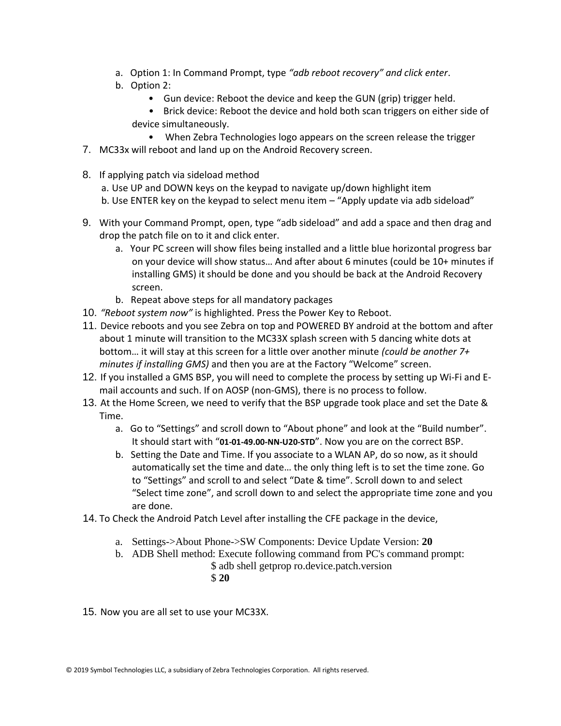- a. Option 1: In Command Prompt, type *"adb reboot recovery" and click enter*.
- b. Option 2:
	- Gun device: Reboot the device and keep the GUN (grip) trigger held.
	- Brick device: Reboot the device and hold both scan triggers on either side of device simultaneously.
- When Zebra Technologies logo appears on the screen release the trigger 7. MC33x will reboot and land up on the Android Recovery screen.
- 8. If applying patch via sideload method
	- a. Use UP and DOWN keys on the keypad to navigate up/down highlight item
	- b. Use ENTER key on the keypad to select menu item "Apply update via adb sideload"
- 9. With your Command Prompt, open, type "adb sideload" and add a space and then drag and drop the patch file on to it and click enter.
	- a. Your PC screen will show files being installed and a little blue horizontal progress bar on your device will show status… And after about 6 minutes (could be 10+ minutes if installing GMS) it should be done and you should be back at the Android Recovery screen.
	- b. Repeat above steps for all mandatory packages
- 10. *"Reboot system now"* is highlighted. Press the Power Key to Reboot.
- 11. Device reboots and you see Zebra on top and POWERED BY android at the bottom and after about 1 minute will transition to the MC33X splash screen with 5 dancing white dots at bottom… it will stay at this screen for a little over another minute *(could be another 7+ minutes if installing GMS)* and then you are at the Factory "Welcome" screen.
- 12. If you installed a GMS BSP, you will need to complete the process by setting up Wi‐Fi and E‐ mail accounts and such. If on AOSP (non‐GMS), there is no process to follow.
- 13. At the Home Screen, we need to verify that the BSP upgrade took place and set the Date & Time.
	- a. Go to "Settings" and scroll down to "About phone" and look at the "Build number". It should start with "**01-01-49.00-NN-U20-STD**". Now you are on the correct BSP.
	- b. Setting the Date and Time. If you associate to a WLAN AP, do so now, as it should automatically set the time and date… the only thing left is to set the time zone. Go to "Settings" and scroll to and select "Date & time". Scroll down to and select "Select time zone", and scroll down to and select the appropriate time zone and you are done.
- 14. To Check the Android Patch Level after installing the CFE package in the device,
	- a. Settings->About Phone->SW Components: Device Update Version: **20**
		- b. ADB Shell method: Execute following command from PC's command prompt:
			- \$ adb shell getprop ro.device.patch.version
			- \$ **20**

15. Now you are all set to use your MC33X.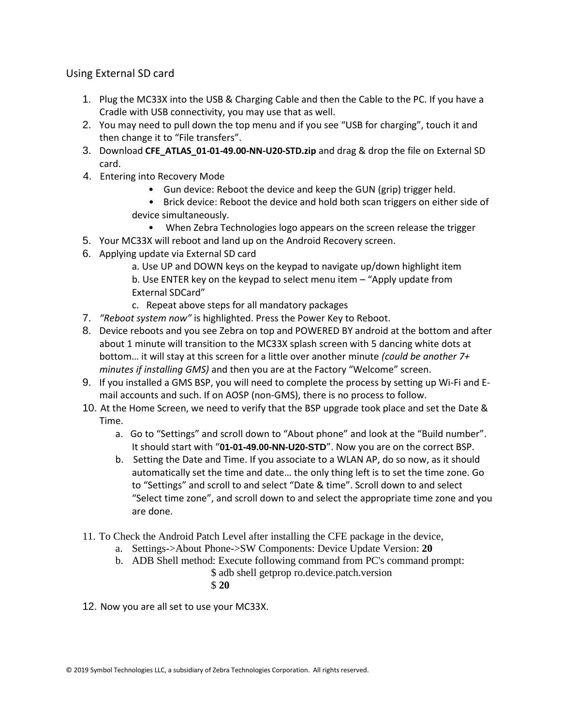Using External SD card

- 1. Plug the MC33X into the USB & Charging Cable and then the Cable to the PC. If you have a Cradle with USB connectivity, you may use that as well.
- 2. You may need to pull down the top menu and if you see "USB for charging", touch it and then change it to "File transfers".
- 3. Download **CFE\_ATLAS\_01-01-49.00-NN-U20-STD.zip** and drag & drop the file on External SD card.
- 4. Entering into Recovery Mode
	- Gun device: Reboot the device and keep the GUN (grip) trigger held.
	- Brick device: Reboot the device and hold both scan triggers on either side of device simultaneously.
		- When Zebra Technologies logo appears on the screen release the trigger
- 5. Your MC33X will reboot and land up on the Android Recovery screen.
- 6. Applying update via External SD card
	- a. Use UP and DOWN keys on the keypad to navigate up/down highlight item b. Use ENTER key on the keypad to select menu item – "Apply update from External SDCard"
	- c. Repeat above steps for all mandatory packages
- 7. *"Reboot system now"* is highlighted. Press the Power Key to Reboot.
- 8. Device reboots and you see Zebra on top and POWERED BY android at the bottom and after about 1 minute will transition to the MC33X splash screen with 5 dancing white dots at bottom… it will stay at this screen for a little over another minute *(could be another 7+ minutes if installing GMS)* and then you are at the Factory "Welcome" screen.
- 9. If you installed a GMS BSP, you will need to complete the process by setting up Wi‐Fi and E‐ mail accounts and such. If on AOSP (non‐GMS), there is no process to follow.
- 10. At the Home Screen, we need to verify that the BSP upgrade took place and set the Date & Time.
	- a. Go to "Settings" and scroll down to "About phone" and look at the "Build number". It should start with "**01-01-49.00-NN-U20-STD**". Now you are on the correct BSP.
	- b. Setting the Date and Time. If you associate to a WLAN AP, do so now, as it should automatically set the time and date… the only thing left is to set the time zone. Go to "Settings" and scroll to and select "Date & time". Scroll down to and select "Select time zone", and scroll down to and select the appropriate time zone and you are done.
- 11. To Check the Android Patch Level after installing the CFE package in the device,
	- a. Settings->About Phone->SW Components: Device Update Version: **20**
	- b. ADB Shell method: Execute following command from PC's command prompt:
		- \$ adb shell getprop ro.device.patch.version
			- \$ **20**
- 12. Now you are all set to use your MC33X.